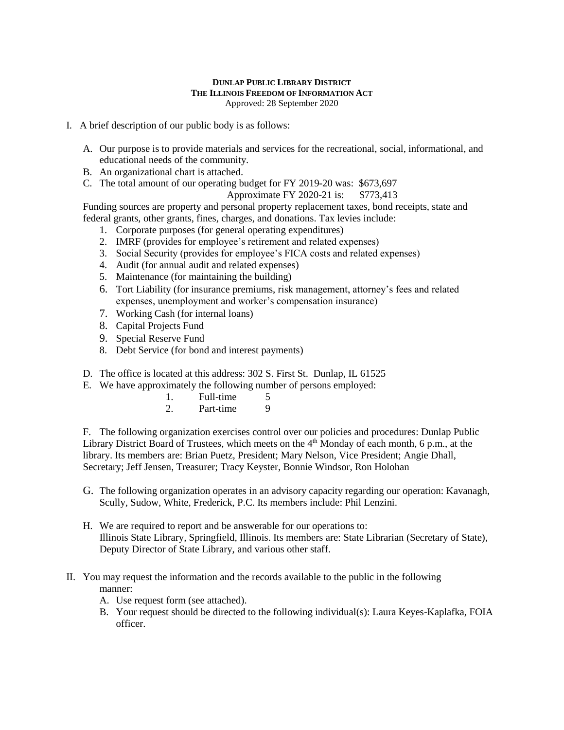## **DUNLAP PUBLIC LIBRARY DISTRICT THE ILLINOIS FREEDOM OF INFORMATION ACT** Approved: 28 September 2020

- I. A brief description of our public body is as follows:
	- A. Our purpose is to provide materials and services for the recreational, social, informational, and educational needs of the community.
	- B. An organizational chart is attached.
	- C. The total amount of our operating budget for FY 2019-20 was: \$673,697

Approximate FY 2020-21 is: \$773,413

Funding sources are property and personal property replacement taxes, bond receipts, state and federal grants, other grants, fines, charges, and donations. Tax levies include:

- 1. Corporate purposes (for general operating expenditures)
- 2. IMRF (provides for employee's retirement and related expenses)
- 3. Social Security (provides for employee's FICA costs and related expenses)
- 4. Audit (for annual audit and related expenses)
- 5. Maintenance (for maintaining the building)
- 6. Tort Liability (for insurance premiums, risk management, attorney's fees and related expenses, unemployment and worker's compensation insurance)
- 7. Working Cash (for internal loans)
- 8. Capital Projects Fund
- 9. Special Reserve Fund
- 8. Debt Service (for bond and interest payments)
- D. The office is located at this address: 302 S. First St. Dunlap, IL 61525
- E. We have approximately the following number of persons employed:
	- 1. Full-time 5
	- 2. Part-time 9

F. The following organization exercises control over our policies and procedures: Dunlap Public Library District Board of Trustees, which meets on the 4<sup>th</sup> Monday of each month, 6 p.m., at the library. Its members are: Brian Puetz, President; Mary Nelson, Vice President; Angie Dhall, Secretary; Jeff Jensen, Treasurer; Tracy Keyster, Bonnie Windsor, Ron Holohan

- G. The following organization operates in an advisory capacity regarding our operation: Kavanagh, Scully, Sudow, White, Frederick, P.C. Its members include: Phil Lenzini.
- H. We are required to report and be answerable for our operations to: Illinois State Library*,* Springfield, Illinois. Its members are: State Librarian (Secretary of State), Deputy Director of State Library, and various other staff.
- II. You may request the information and the records available to the public in the following manner:
	- A. Use request form (see attached).
	- B. Your request should be directed to the following individual(s): Laura Keyes-Kaplafka, FOIA officer.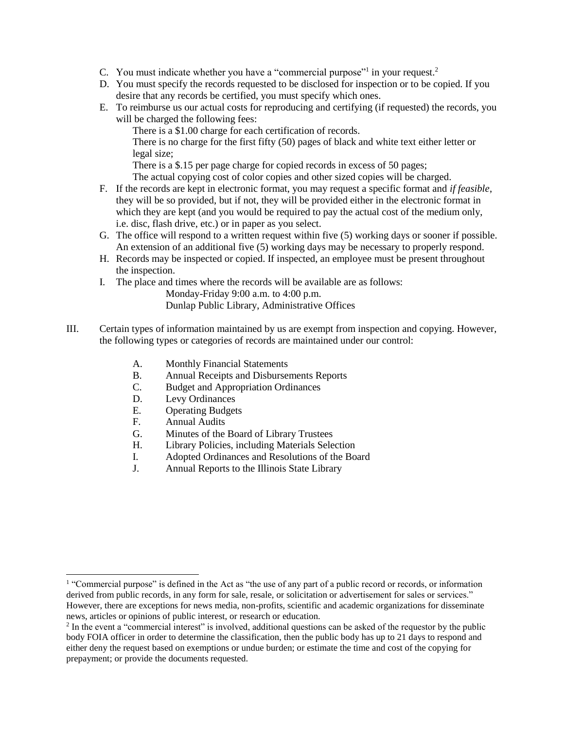- C. You must indicate whether you have a "commercial purpose"<sup>1</sup> in your request.<sup>2</sup>
- D. You must specify the records requested to be disclosed for inspection or to be copied. If you desire that any records be certified, you must specify which ones.
- E. To reimburse us our actual costs for reproducing and certifying (if requested) the records, you will be charged the following fees:

There is a \$1.00 charge for each certification of records.

There is no charge for the first fifty (50) pages of black and white text either letter or legal size;

There is a \$.15 per page charge for copied records in excess of 50 pages;

The actual copying cost of color copies and other sized copies will be charged.

- F. If the records are kept in electronic format, you may request a specific format and *if feasible*, they will be so provided, but if not, they will be provided either in the electronic format in which they are kept (and you would be required to pay the actual cost of the medium only, i.e. disc, flash drive, etc.) or in paper as you select.
- G. The office will respond to a written request within five (5) working days or sooner if possible. An extension of an additional five (5) working days may be necessary to properly respond.
- H. Records may be inspected or copied. If inspected, an employee must be present throughout the inspection.
- I. The place and times where the records will be available are as follows:

Monday-Friday 9:00 a.m. to 4:00 p.m. Dunlap Public Library, Administrative Offices

- III. Certain types of information maintained by us are exempt from inspection and copying. However, the following types or categories of records are maintained under our control:
	- A. Monthly Financial Statements
	- B. Annual Receipts and Disbursements Reports
	- C. Budget and Appropriation Ordinances
	- D. Levy Ordinances
	- E. Operating Budgets
	- F. Annual Audits

 $\overline{a}$ 

- G. Minutes of the Board of Library Trustees
- H. Library Policies, including Materials Selection
- I. Adopted Ordinances and Resolutions of the Board
- J. Annual Reports to the Illinois State Library

<sup>&</sup>lt;sup>1</sup> "Commercial purpose" is defined in the Act as "the use of any part of a public record or records, or information derived from public records, in any form for sale, resale, or solicitation or advertisement for sales or services." However, there are exceptions for news media, non-profits, scientific and academic organizations for disseminate news, articles or opinions of public interest, or research or education.

 $2$  In the event a "commercial interest" is involved, additional questions can be asked of the requestor by the public body FOIA officer in order to determine the classification, then the public body has up to 21 days to respond and either deny the request based on exemptions or undue burden; or estimate the time and cost of the copying for prepayment; or provide the documents requested.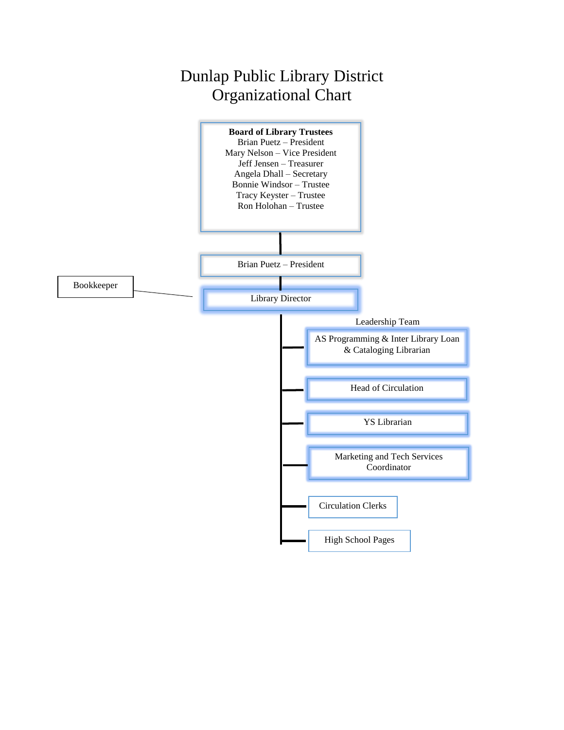## Dunlap Public Library District Organizational Chart